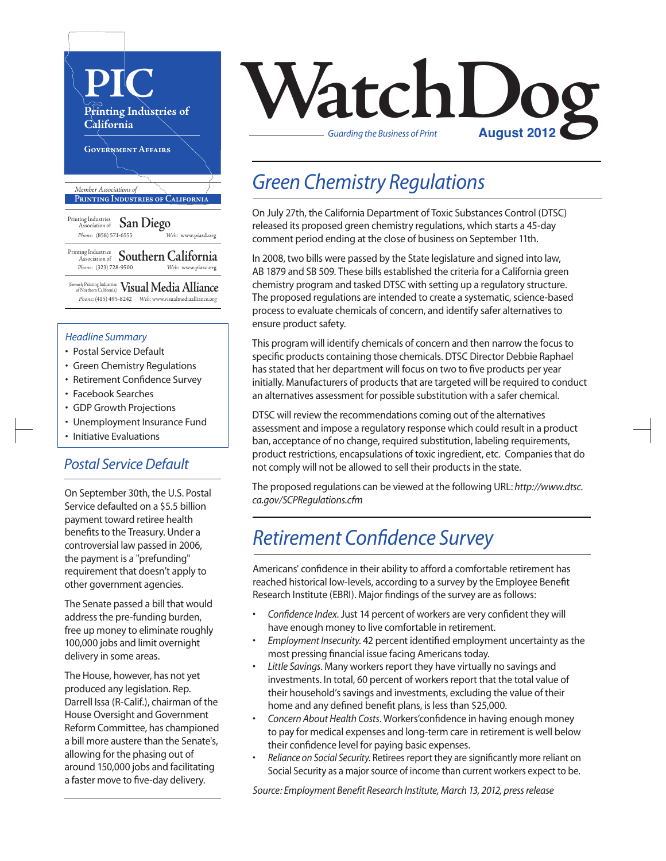

#### *Headline Summary*

- Postal Service Default
- Green Chemistry Regulations
- Retirement Confidence Survey
- Facebook Searches
- GDP Growth Projections
- Unemployment Insurance Fund
- Initiative Evaluations

#### *Postal Service Default*

On September 30th, the U.S. Postal Service defaulted on a \$5.5 billion payment toward retiree health benefits to the Treasury. Under a controversial law passed in 2006, the payment is a "prefunding" requirement that doesn't apply to other government agencies.

The Senate passed a bill that would address the pre-funding burden, free up money to eliminate roughly 100,000 jobs and limit overnight delivery in some areas.

The House, however, has not yet produced any legislation. Rep. Darrell Issa (R-Calif.), chairman of the House Oversight and Government Reform Committee, has championed a bill more austere than the Senate's, allowing for the phasing out of around 150,000 jobs and facilitating a faster move to five-day delivery.



### *Green Chemistry Regulations*

On July 27th, the California Department of Toxic Substances Control (DTSC) released its proposed green chemistry regulations, which starts a 45-day comment period ending at the close of business on September 11th.

In 2008, two bills were passed by the State legislature and signed into law, AB 1879 and SB 509. These bills established the criteria for a California green chemistry program and tasked DTSC with setting up a regulatory structure. The proposed regulations are intended to create a systematic, science-based process to evaluate chemicals of concern, and identify safer alternatives to ensure product safety.

This program will identify chemicals of concern and then narrow the focus to specific products containing those chemicals. DTSC Director Debbie Raphael has stated that her department will focus on two to five products per year initially. Manufacturers of products that are targeted will be required to conduct an alternatives assessment for possible substitution with a safer chemical.

DTSC will review the recommendations coming out of the alternatives assessment and impose a regulatory response which could result in a product ban, acceptance of no change, required substitution, labeling requirements, product restrictions, encapsulations of toxic ingredient, etc. Companies that do not comply will not be allowed to sell their products in the state.

The proposed regulations can be viewed at the following URL: *http://www.dtsc. ca.gov/SCPRegulations.cfm*

## *Retirement Confidence Survey*

Americans' confidence in their ability to afford a comfortable retirement has reached historical low-levels, according to a survey by the Employee Benefit Research Institute (EBRI). Major findings of the survey are as follows:

- *Confidence Index*. Just 14 percent of workers are very confident they will have enough money to live comfortable in retirement.
- *Employment Insecurity*. 42 percent identified employment uncertainty as the most pressing financial issue facing Americans today.
- Little Savings. Many workers report they have virtually no savings and investments. In total, 60 percent of workers report that the total value of their household's savings and investments, excluding the value of their home and any defined benefit plans, is less than \$25,000.
- *Concern About Health Costs*. Workers'confidence in having enough money to pay for medical expenses and long-term care in retirement is well below their confidence level for paying basic expenses.
- *Reliance on Social Security*. Retirees report they are significantly more reliant on Social Security as a major source of income than current workers expect to be.

*Source: Employment Benefit Research Institute, March 13, 2012, press release*